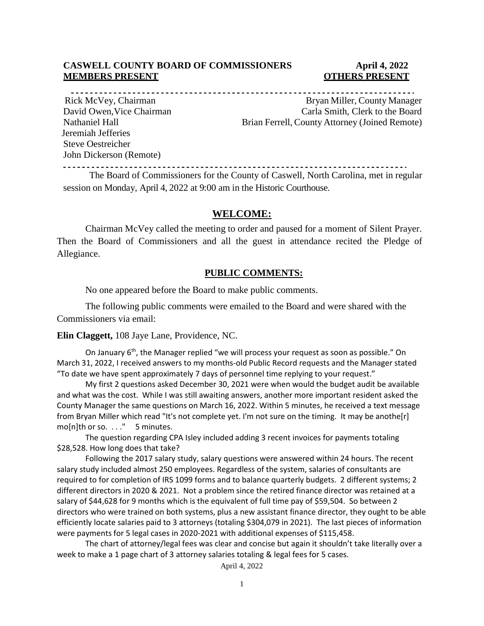#### **CASWELL COUNTY BOARD OF COMMISSIONERS April 4, 2022 MEMBERS PRESENT OTHERS PRESENT**

 Jeremiah Jefferies Steve Oestreicher John Dickerson (Remote)

Rick McVey, Chairman and Bryan Miller, County Manager David Owen, Vice Chairman Carla Smith, Clerk to the Board Nathaniel Hall Brian Ferrell, County Attorney (Joined Remote)

------------------------The Board of Commissioners for the County of Caswell, North Carolina, met in regular

session on Monday, April 4, 2022 at 9:00 am in the Historic Courthouse.

#### **WELCOME:**

Chairman McVey called the meeting to order and paused for a moment of Silent Prayer. Then the Board of Commissioners and all the guest in attendance recited the Pledge of Allegiance.

#### **PUBLIC COMMENTS:**

No one appeared before the Board to make public comments.

The following public comments were emailed to the Board and were shared with the Commissioners via email:

**Elin Claggett,** 108 Jaye Lane, Providence, NC.

On January  $6<sup>th</sup>$ , the Manager replied "we will process your request as soon as possible." On March 31, 2022, I received answers to my months-old Public Record requests and the Manager stated "To date we have spent approximately 7 days of personnel time replying to your request."

My first 2 questions asked December 30, 2021 were when would the budget audit be available and what was the cost. While I was still awaiting answers, another more important resident asked the County Manager the same questions on March 16, 2022. Within 5 minutes, he received a text message from Bryan Miller which read "It's not complete yet. I'm not sure on the timing. It may be anothe[r] mo[n]th or so. . . ." 5 minutes.

The question regarding CPA Isley included adding 3 recent invoices for payments totaling \$28,528. How long does that take?

Following the 2017 salary study, salary questions were answered within 24 hours. The recent salary study included almost 250 employees. Regardless of the system, salaries of consultants are required to for completion of IRS 1099 forms and to balance quarterly budgets. 2 different systems; 2 different directors in 2020 & 2021. Not a problem since the retired finance director was retained at a salary of \$44,628 for 9 months which is the equivalent of full time pay of \$59,504. So between 2 directors who were trained on both systems, plus a new assistant finance director, they ought to be able efficiently locate salaries paid to 3 attorneys (totaling \$304,079 in 2021). The last pieces of information were payments for 5 legal cases in 2020-2021 with additional expenses of \$115,458.

The chart of attorney/legal fees was clear and concise but again it shouldn't take literally over a week to make a 1 page chart of 3 attorney salaries totaling & legal fees for 5 cases.

April 4, 2022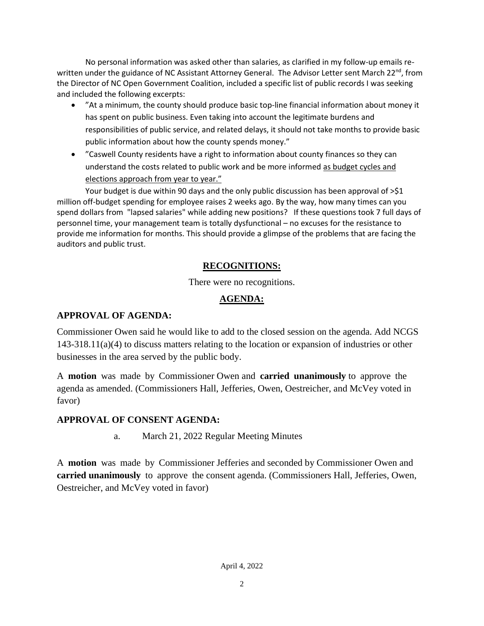No personal information was asked other than salaries, as clarified in my follow-up emails rewritten under the guidance of NC Assistant Attorney General. The Advisor Letter sent March 22<sup>nd</sup>, from the Director of NC Open Government Coalition, included a specific list of public records I was seeking and included the following excerpts:

- "At a minimum, the county should produce basic top-line financial information about money it has spent on public business. Even taking into account the legitimate burdens and responsibilities of public service, and related delays, it should not take months to provide basic public information about how the county spends money."
- "Caswell County residents have a right to information about county finances so they can understand the costs related to public work and be more informed as budget cycles and elections approach from year to year."

Your budget is due within 90 days and the only public discussion has been approval of >\$1 million off-budget spending for employee raises 2 weeks ago. By the way, how many times can you spend dollars from "lapsed salaries" while adding new positions? If these questions took 7 full days of personnel time, your management team is totally dysfunctional – no excuses for the resistance to provide me information for months. This should provide a glimpse of the problems that are facing the auditors and public trust.

## **RECOGNITIONS:**

There were no recognitions.

## **AGENDA:**

## **APPROVAL OF AGENDA:**

Commissioner Owen said he would like to add to the closed session on the agenda. Add NCGS 143-318.11(a)(4) to discuss matters relating to the location or expansion of industries or other businesses in the area served by the public body.

A **motion** was made by Commissioner Owen and **carried unanimously** to approve the agenda as amended. (Commissioners Hall, Jefferies, Owen, Oestreicher, and McVey voted in favor)

#### **APPROVAL OF CONSENT AGENDA:**

a. March 21, 2022 Regular Meeting Minutes

A **motion** was made by Commissioner Jefferies and seconded by Commissioner Owen and **carried unanimously** to approve the consent agenda. (Commissioners Hall, Jefferies, Owen, Oestreicher, and McVey voted in favor)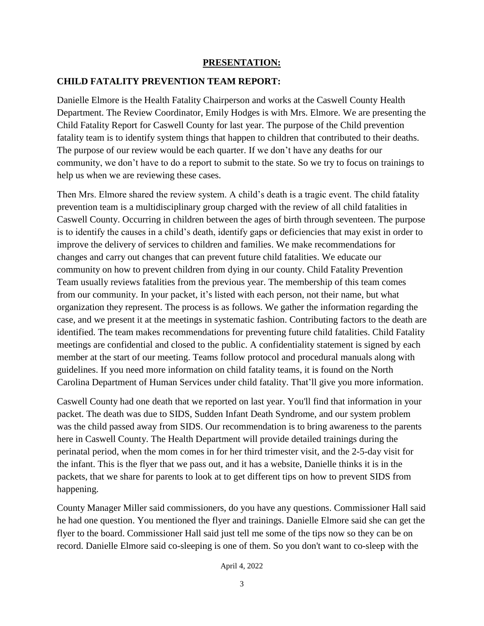#### **PRESENTATION:**

#### **CHILD FATALITY PREVENTION TEAM REPORT:**

Danielle Elmore is the Health Fatality Chairperson and works at the Caswell County Health Department. The Review Coordinator, Emily Hodges is with Mrs. Elmore. We are presenting the Child Fatality Report for Caswell County for last year. The purpose of the Child prevention fatality team is to identify system things that happen to children that contributed to their deaths. The purpose of our review would be each quarter. If we don't have any deaths for our community, we don't have to do a report to submit to the state. So we try to focus on trainings to help us when we are reviewing these cases.

Then Mrs. Elmore shared the review system. A child's death is a tragic event. The child fatality prevention team is a multidisciplinary group charged with the review of all child fatalities in Caswell County. Occurring in children between the ages of birth through seventeen. The purpose is to identify the causes in a child's death, identify gaps or deficiencies that may exist in order to improve the delivery of services to children and families. We make recommendations for changes and carry out changes that can prevent future child fatalities. We educate our community on how to prevent children from dying in our county. Child Fatality Prevention Team usually reviews fatalities from the previous year. The membership of this team comes from our community. In your packet, it's listed with each person, not their name, but what organization they represent. The process is as follows. We gather the information regarding the case, and we present it at the meetings in systematic fashion. Contributing factors to the death are identified. The team makes recommendations for preventing future child fatalities. Child Fatality meetings are confidential and closed to the public. A confidentiality statement is signed by each member at the start of our meeting. Teams follow protocol and procedural manuals along with guidelines. If you need more information on child fatality teams, it is found on the North Carolina Department of Human Services under child fatality. That'll give you more information.

Caswell County had one death that we reported on last year. You'll find that information in your packet. The death was due to SIDS, Sudden Infant Death Syndrome, and our system problem was the child passed away from SIDS. Our recommendation is to bring awareness to the parents here in Caswell County. The Health Department will provide detailed trainings during the perinatal period, when the mom comes in for her third trimester visit, and the 2-5-day visit for the infant. This is the flyer that we pass out, and it has a website, Danielle thinks it is in the packets, that we share for parents to look at to get different tips on how to prevent SIDS from happening.

County Manager Miller said commissioners, do you have any questions. Commissioner Hall said he had one question. You mentioned the flyer and trainings. Danielle Elmore said she can get the flyer to the board. Commissioner Hall said just tell me some of the tips now so they can be on record. Danielle Elmore said co-sleeping is one of them. So you don't want to co-sleep with the

April 4, 2022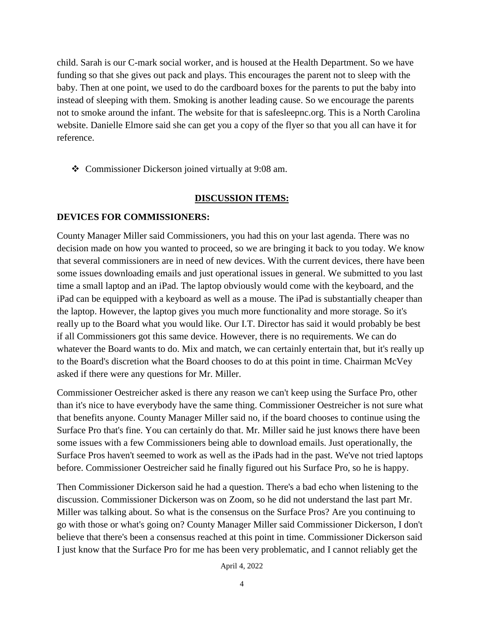child. Sarah is our C-mark social worker, and is housed at the Health Department. So we have funding so that she gives out pack and plays. This encourages the parent not to sleep with the baby. Then at one point, we used to do the cardboard boxes for the parents to put the baby into instead of sleeping with them. Smoking is another leading cause. So we encourage the parents not to smoke around the infant. The website for that is safesleepnc.org. This is a North Carolina website. Danielle Elmore said she can get you a copy of the flyer so that you all can have it for reference.

Commissioner Dickerson joined virtually at 9:08 am.

#### **DISCUSSION ITEMS:**

#### **DEVICES FOR COMMISSIONERS:**

County Manager Miller said Commissioners, you had this on your last agenda. There was no decision made on how you wanted to proceed, so we are bringing it back to you today. We know that several commissioners are in need of new devices. With the current devices, there have been some issues downloading emails and just operational issues in general. We submitted to you last time a small laptop and an iPad. The laptop obviously would come with the keyboard, and the iPad can be equipped with a keyboard as well as a mouse. The iPad is substantially cheaper than the laptop. However, the laptop gives you much more functionality and more storage. So it's really up to the Board what you would like. Our I.T. Director has said it would probably be best if all Commissioners got this same device. However, there is no requirements. We can do whatever the Board wants to do. Mix and match, we can certainly entertain that, but it's really up to the Board's discretion what the Board chooses to do at this point in time. Chairman McVey asked if there were any questions for Mr. Miller.

Commissioner Oestreicher asked is there any reason we can't keep using the Surface Pro, other than it's nice to have everybody have the same thing. Commissioner Oestreicher is not sure what that benefits anyone. County Manager Miller said no, if the board chooses to continue using the Surface Pro that's fine. You can certainly do that. Mr. Miller said he just knows there have been some issues with a few Commissioners being able to download emails. Just operationally, the Surface Pros haven't seemed to work as well as the iPads had in the past. We've not tried laptops before. Commissioner Oestreicher said he finally figured out his Surface Pro, so he is happy.

Then Commissioner Dickerson said he had a question. There's a bad echo when listening to the discussion. Commissioner Dickerson was on Zoom, so he did not understand the last part Mr. Miller was talking about. So what is the consensus on the Surface Pros? Are you continuing to go with those or what's going on? County Manager Miller said Commissioner Dickerson, I don't believe that there's been a consensus reached at this point in time. Commissioner Dickerson said I just know that the Surface Pro for me has been very problematic, and I cannot reliably get the

April 4, 2022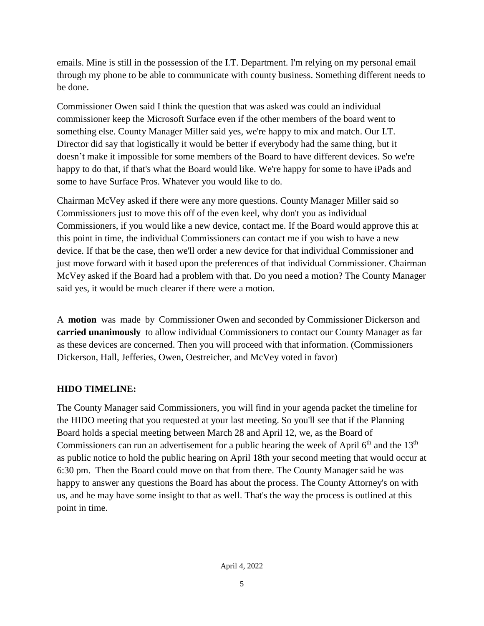emails. Mine is still in the possession of the I.T. Department. I'm relying on my personal email through my phone to be able to communicate with county business. Something different needs to be done.

Commissioner Owen said I think the question that was asked was could an individual commissioner keep the Microsoft Surface even if the other members of the board went to something else. County Manager Miller said yes, we're happy to mix and match. Our I.T. Director did say that logistically it would be better if everybody had the same thing, but it doesn't make it impossible for some members of the Board to have different devices. So we're happy to do that, if that's what the Board would like. We're happy for some to have iPads and some to have Surface Pros. Whatever you would like to do.

Chairman McVey asked if there were any more questions. County Manager Miller said so Commissioners just to move this off of the even keel, why don't you as individual Commissioners, if you would like a new device, contact me. If the Board would approve this at this point in time, the individual Commissioners can contact me if you wish to have a new device. If that be the case, then we'll order a new device for that individual Commissioner and just move forward with it based upon the preferences of that individual Commissioner. Chairman McVey asked if the Board had a problem with that. Do you need a motion? The County Manager said yes, it would be much clearer if there were a motion.

A **motion** was made by Commissioner Owen and seconded by Commissioner Dickerson and **carried unanimously** to allow individual Commissioners to contact our County Manager as far as these devices are concerned. Then you will proceed with that information. (Commissioners Dickerson, Hall, Jefferies, Owen, Oestreicher, and McVey voted in favor)

## **HIDO TIMELINE:**

The County Manager said Commissioners, you will find in your agenda packet the timeline for the HIDO meeting that you requested at your last meeting. So you'll see that if the Planning Board holds a special meeting between March 28 and April 12, we, as the Board of Commissioners can run an advertisement for a public hearing the week of April  $6<sup>th</sup>$  and the  $13<sup>th</sup>$ as public notice to hold the public hearing on April 18th your second meeting that would occur at 6:30 pm. Then the Board could move on that from there. The County Manager said he was happy to answer any questions the Board has about the process. The County Attorney's on with us, and he may have some insight to that as well. That's the way the process is outlined at this point in time.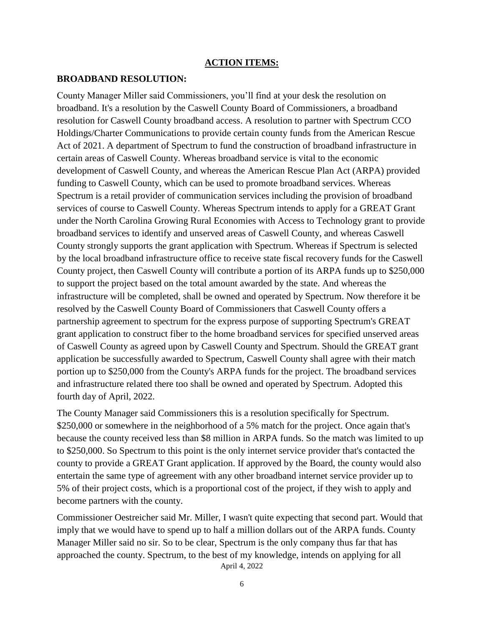#### **ACTION ITEMS:**

#### **BROADBAND RESOLUTION:**

County Manager Miller said Commissioners, you'll find at your desk the resolution on broadband. It's a resolution by the Caswell County Board of Commissioners, a broadband resolution for Caswell County broadband access. A resolution to partner with Spectrum CCO Holdings/Charter Communications to provide certain county funds from the American Rescue Act of 2021. A department of Spectrum to fund the construction of broadband infrastructure in certain areas of Caswell County. Whereas broadband service is vital to the economic development of Caswell County, and whereas the American Rescue Plan Act (ARPA) provided funding to Caswell County, which can be used to promote broadband services. Whereas Spectrum is a retail provider of communication services including the provision of broadband services of course to Caswell County. Whereas Spectrum intends to apply for a GREAT Grant under the North Carolina Growing Rural Economies with Access to Technology grant to provide broadband services to identify and unserved areas of Caswell County, and whereas Caswell County strongly supports the grant application with Spectrum. Whereas if Spectrum is selected by the local broadband infrastructure office to receive state fiscal recovery funds for the Caswell County project, then Caswell County will contribute a portion of its ARPA funds up to \$250,000 to support the project based on the total amount awarded by the state. And whereas the infrastructure will be completed, shall be owned and operated by Spectrum. Now therefore it be resolved by the Caswell County Board of Commissioners that Caswell County offers a partnership agreement to spectrum for the express purpose of supporting Spectrum's GREAT grant application to construct fiber to the home broadband services for specified unserved areas of Caswell County as agreed upon by Caswell County and Spectrum. Should the GREAT grant application be successfully awarded to Spectrum, Caswell County shall agree with their match portion up to \$250,000 from the County's ARPA funds for the project. The broadband services and infrastructure related there too shall be owned and operated by Spectrum. Adopted this fourth day of April, 2022.

The County Manager said Commissioners this is a resolution specifically for Spectrum. \$250,000 or somewhere in the neighborhood of a 5% match for the project. Once again that's because the county received less than \$8 million in ARPA funds. So the match was limited to up to \$250,000. So Spectrum to this point is the only internet service provider that's contacted the county to provide a GREAT Grant application. If approved by the Board, the county would also entertain the same type of agreement with any other broadband internet service provider up to 5% of their project costs, which is a proportional cost of the project, if they wish to apply and become partners with the county.

April 4, 2022 Commissioner Oestreicher said Mr. Miller, I wasn't quite expecting that second part. Would that imply that we would have to spend up to half a million dollars out of the ARPA funds. County Manager Miller said no sir. So to be clear, Spectrum is the only company thus far that has approached the county. Spectrum, to the best of my knowledge, intends on applying for all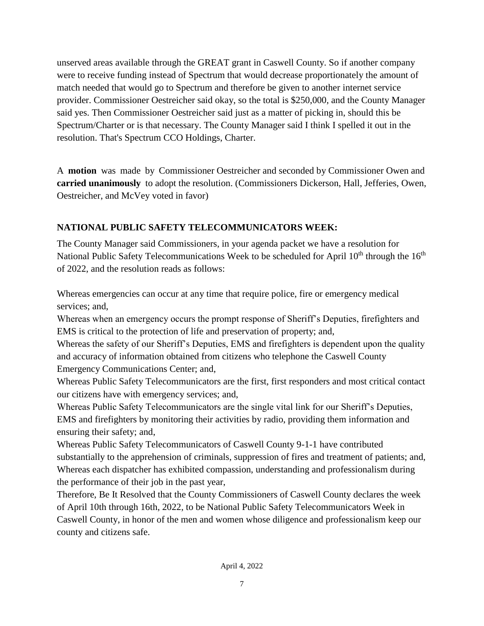unserved areas available through the GREAT grant in Caswell County. So if another company were to receive funding instead of Spectrum that would decrease proportionately the amount of match needed that would go to Spectrum and therefore be given to another internet service provider. Commissioner Oestreicher said okay, so the total is \$250,000, and the County Manager said yes. Then Commissioner Oestreicher said just as a matter of picking in, should this be Spectrum/Charter or is that necessary. The County Manager said I think I spelled it out in the resolution. That's Spectrum CCO Holdings, Charter.

A **motion** was made by Commissioner Oestreicher and seconded by Commissioner Owen and **carried unanimously** to adopt the resolution. (Commissioners Dickerson, Hall, Jefferies, Owen, Oestreicher, and McVey voted in favor)

## **NATIONAL PUBLIC SAFETY TELECOMMUNICATORS WEEK:**

The County Manager said Commissioners, in your agenda packet we have a resolution for National Public Safety Telecommunications Week to be scheduled for April  $10<sup>th</sup>$  through the  $16<sup>th</sup>$ of 2022, and the resolution reads as follows:

Whereas emergencies can occur at any time that require police, fire or emergency medical services; and,

Whereas when an emergency occurs the prompt response of Sheriff's Deputies, firefighters and EMS is critical to the protection of life and preservation of property; and,

Whereas the safety of our Sheriff's Deputies, EMS and firefighters is dependent upon the quality and accuracy of information obtained from citizens who telephone the Caswell County Emergency Communications Center; and,

Whereas Public Safety Telecommunicators are the first, first responders and most critical contact our citizens have with emergency services; and,

Whereas Public Safety Telecommunicators are the single vital link for our Sheriff's Deputies, EMS and firefighters by monitoring their activities by radio, providing them information and ensuring their safety; and,

Whereas Public Safety Telecommunicators of Caswell County 9-1-1 have contributed substantially to the apprehension of criminals, suppression of fires and treatment of patients; and, Whereas each dispatcher has exhibited compassion, understanding and professionalism during the performance of their job in the past year,

Therefore, Be It Resolved that the County Commissioners of Caswell County declares the week of April 10th through 16th, 2022, to be National Public Safety Telecommunicators Week in Caswell County, in honor of the men and women whose diligence and professionalism keep our county and citizens safe.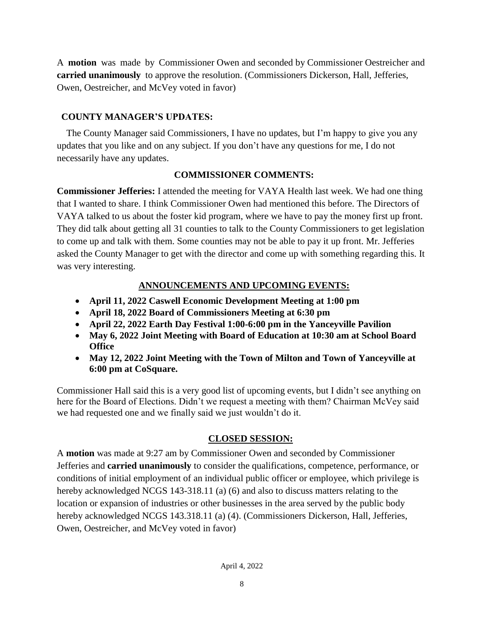A **motion** was made by Commissioner Owen and seconded by Commissioner Oestreicher and **carried unanimously** to approve the resolution. (Commissioners Dickerson, Hall, Jefferies, Owen, Oestreicher, and McVey voted in favor)

## **COUNTY MANAGER'S UPDATES:**

 The County Manager said Commissioners, I have no updates, but I'm happy to give you any updates that you like and on any subject. If you don't have any questions for me, I do not necessarily have any updates.

## **COMMISSIONER COMMENTS:**

**Commissioner Jefferies:** I attended the meeting for VAYA Health last week. We had one thing that I wanted to share. I think Commissioner Owen had mentioned this before. The Directors of VAYA talked to us about the foster kid program, where we have to pay the money first up front. They did talk about getting all 31 counties to talk to the County Commissioners to get legislation to come up and talk with them. Some counties may not be able to pay it up front. Mr. Jefferies asked the County Manager to get with the director and come up with something regarding this. It was very interesting.

## **ANNOUNCEMENTS AND UPCOMING EVENTS:**

- **April 11, 2022 Caswell Economic Development Meeting at 1:00 pm**
- **April 18, 2022 Board of Commissioners Meeting at 6:30 pm**
- **April 22, 2022 Earth Day Festival 1:00-6:00 pm in the Yanceyville Pavilion**
- **May 6, 2022 Joint Meeting with Board of Education at 10:30 am at School Board Office**
- **May 12, 2022 Joint Meeting with the Town of Milton and Town of Yanceyville at 6:00 pm at CoSquare.**

Commissioner Hall said this is a very good list of upcoming events, but I didn't see anything on here for the Board of Elections. Didn't we request a meeting with them? Chairman McVey said we had requested one and we finally said we just wouldn't do it.

## **CLOSED SESSION:**

A **motion** was made at 9:27 am by Commissioner Owen and seconded by Commissioner Jefferies and **carried unanimously** to consider the qualifications, competence, performance, or conditions of initial employment of an individual public officer or employee, which privilege is hereby acknowledged NCGS 143-318.11 (a) (6) and also to discuss matters relating to the location or expansion of industries or other businesses in the area served by the public body hereby acknowledged NCGS 143.318.11 (a) (4). (Commissioners Dickerson, Hall, Jefferies, Owen, Oestreicher, and McVey voted in favor)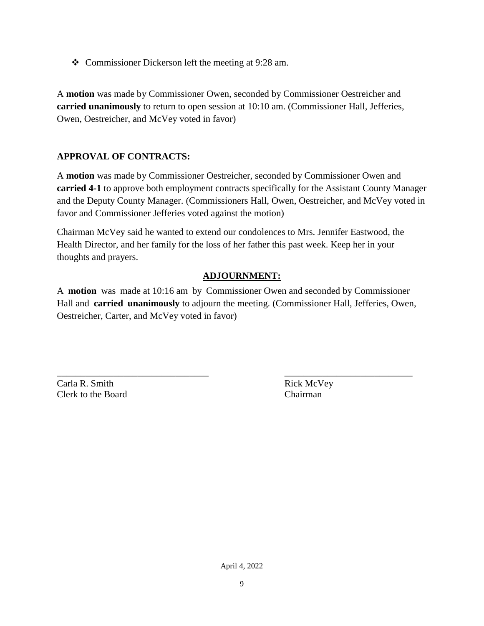Commissioner Dickerson left the meeting at 9:28 am.

A **motion** was made by Commissioner Owen, seconded by Commissioner Oestreicher and **carried unanimously** to return to open session at 10:10 am. (Commissioner Hall, Jefferies, Owen, Oestreicher, and McVey voted in favor)

## **APPROVAL OF CONTRACTS:**

A **motion** was made by Commissioner Oestreicher, seconded by Commissioner Owen and **carried 4-1** to approve both employment contracts specifically for the Assistant County Manager and the Deputy County Manager. (Commissioners Hall, Owen, Oestreicher, and McVey voted in favor and Commissioner Jefferies voted against the motion)

Chairman McVey said he wanted to extend our condolences to Mrs. Jennifer Eastwood, the Health Director, and her family for the loss of her father this past week. Keep her in your thoughts and prayers.

## **ADJOURNMENT:**

A **motion** was made at 10:16 am by Commissioner Owen and seconded by Commissioner Hall and **carried unanimously** to adjourn the meeting. (Commissioner Hall, Jefferies, Owen, Oestreicher, Carter, and McVey voted in favor)

\_\_\_\_\_\_\_\_\_\_\_\_\_\_\_\_\_\_\_\_\_\_\_\_\_\_\_\_\_\_\_\_ \_\_\_\_\_\_\_\_\_\_\_\_\_\_\_\_\_\_\_\_\_\_\_\_\_\_\_

Carla R. Smith Rick McVey Clerk to the Board Chairman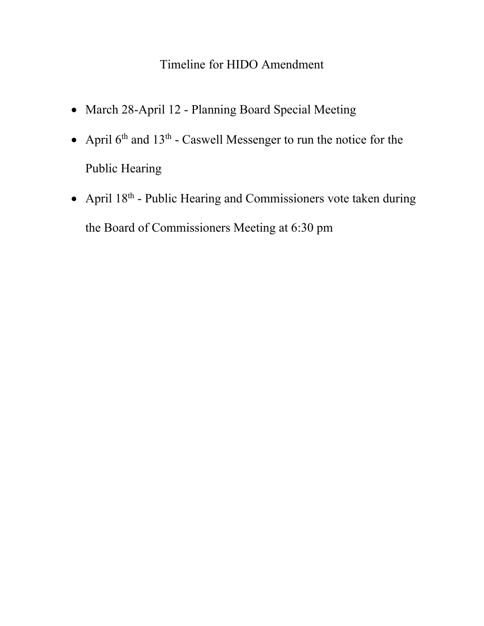# Timeline for HIDO Amendment

- March 28-April 12 Planning Board Special Meeting
- April  $6<sup>th</sup>$  and  $13<sup>th</sup>$  Caswell Messenger to run the notice for the Public Hearing
- April  $18<sup>th</sup>$  Public Hearing and Commissioners vote taken during the Board of Commissioners Meeting at 6:30 pm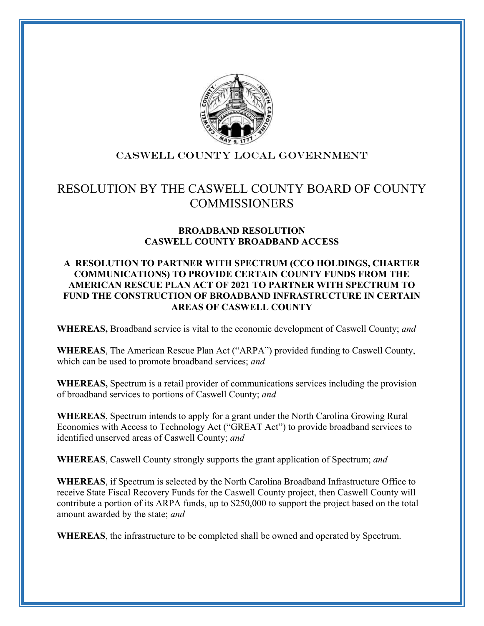

## CASWELL COUNTY local government

# RESOLUTION BY THE CASWELL COUNTY BOARD OF COUNTY **COMMISSIONERS**

## **BROADBAND RESOLUTION CASWELL COUNTY BROADBAND ACCESS**

#### **A RESOLUTION TO PARTNER WITH SPECTRUM (CCO HOLDINGS, CHARTER COMMUNICATIONS) TO PROVIDE CERTAIN COUNTY FUNDS FROM THE AMERICAN RESCUE PLAN ACT OF 2021 TO PARTNER WITH SPECTRUM TO FUND THE CONSTRUCTION OF BROADBAND INFRASTRUCTURE IN CERTAIN AREAS OF CASWELL COUNTY**

**WHEREAS,** Broadband service is vital to the economic development of Caswell County; *and*

**WHEREAS**, The American Rescue Plan Act ("ARPA") provided funding to Caswell County, which can be used to promote broadband services; *and*

**WHEREAS,** Spectrum is a retail provider of communications services including the provision of broadband services to portions of Caswell County; *and*

**WHEREAS**, Spectrum intends to apply for a grant under the North Carolina Growing Rural Economies with Access to Technology Act ("GREAT Act") to provide broadband services to identified unserved areas of Caswell County; *and*

**WHEREAS**, Caswell County strongly supports the grant application of Spectrum; *and*

**WHEREAS**, if Spectrum is selected by the North Carolina Broadband Infrastructure Office to receive State Fiscal Recovery Funds for the Caswell County project, then Caswell County will contribute a portion of its ARPA funds, up to \$250,000 to support the project based on the total amount awarded by the state; *and*

**WHEREAS**, the infrastructure to be completed shall be owned and operated by Spectrum.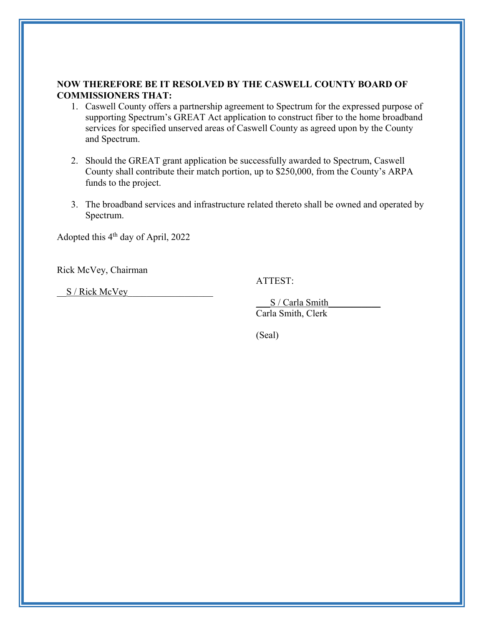#### **NOW THEREFORE BE IT RESOLVED BY THE CASWELL COUNTY BOARD OF COMMISSIONERS THAT:**

- 1. Caswell County offers a partnership agreement to Spectrum for the expressed purpose of supporting Spectrum's GREAT Act application to construct fiber to the home broadband services for specified unserved areas of Caswell County as agreed upon by the County and Spectrum.
- 2. Should the GREAT grant application be successfully awarded to Spectrum, Caswell County shall contribute their match portion, up to \$250,000, from the County's ARPA funds to the project.
- 3. The broadband services and infrastructure related thereto shall be owned and operated by Spectrum.

Adopted this 4th day of April, 2022

Rick McVey, Chairman

ATTEST:

S / Rick McVey

S / Carla Smith Carla Smith, Clerk

(Seal)